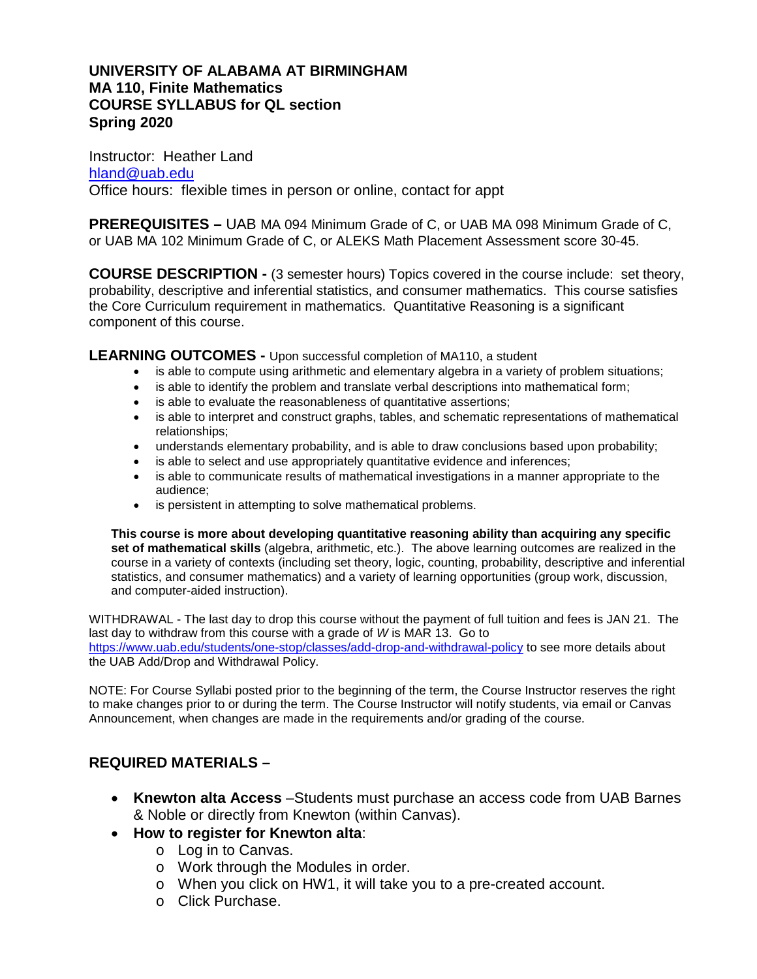# **UNIVERSITY OF ALABAMA AT BIRMINGHAM MA 110, Finite Mathematics COURSE SYLLABUS for QL section Spring 2020**

Instructor: Heather Land [hland@uab.edu](mailto:hland@uab.edu) Office hours: flexible times in person or online, contact for appt

**PREREQUISITES –** UAB MA 094 Minimum Grade of C, or UAB MA 098 Minimum Grade of C, or UAB MA 102 Minimum Grade of C, or ALEKS Math Placement Assessment score 30-45.

**COURSE DESCRIPTION -** (3 semester hours) Topics covered in the course include: set theory, probability, descriptive and inferential statistics, and consumer mathematics. This course satisfies the Core Curriculum requirement in mathematics. Quantitative Reasoning is a significant component of this course.

**LEARNING OUTCOMES -** Upon successful completion of MA110, a student

- is able to compute using arithmetic and elementary algebra in a variety of problem situations;
- is able to identify the problem and translate verbal descriptions into mathematical form;
- is able to evaluate the reasonableness of quantitative assertions;
- is able to interpret and construct graphs, tables, and schematic representations of mathematical relationships;
- understands elementary probability, and is able to draw conclusions based upon probability;
- is able to select and use appropriately quantitative evidence and inferences;
- is able to communicate results of mathematical investigations in a manner appropriate to the audience;
- is persistent in attempting to solve mathematical problems.

**This course is more about developing quantitative reasoning ability than acquiring any specific set of mathematical skills** (algebra, arithmetic, etc.). The above learning outcomes are realized in the course in a variety of contexts (including set theory, logic, counting, probability, descriptive and inferential statistics, and consumer mathematics) and a variety of learning opportunities (group work, discussion, and computer-aided instruction).

WITHDRAWAL - The last day to drop this course without the payment of full tuition and fees is JAN 21. The last day to withdraw from this course with a grade of *W* is MAR 13. Go to <https://www.uab.edu/students/one-stop/classes/add-drop-and-withdrawal-policy> to see more details about the UAB Add/Drop and Withdrawal Policy.

NOTE: For Course Syllabi posted prior to the beginning of the term, the Course Instructor reserves the right to make changes prior to or during the term. The Course Instructor will notify students, via email or Canvas Announcement, when changes are made in the requirements and/or grading of the course.

# **REQUIRED MATERIALS –**

- **Knewton alta Access** –Students must purchase an access code from UAB Barnes & Noble or directly from Knewton (within Canvas).
- **How to register for Knewton alta**:
	- o Log in to Canvas.
	- o Work through the Modules in order.
	- o When you click on HW1, it will take you to a pre-created account.
	- o Click Purchase.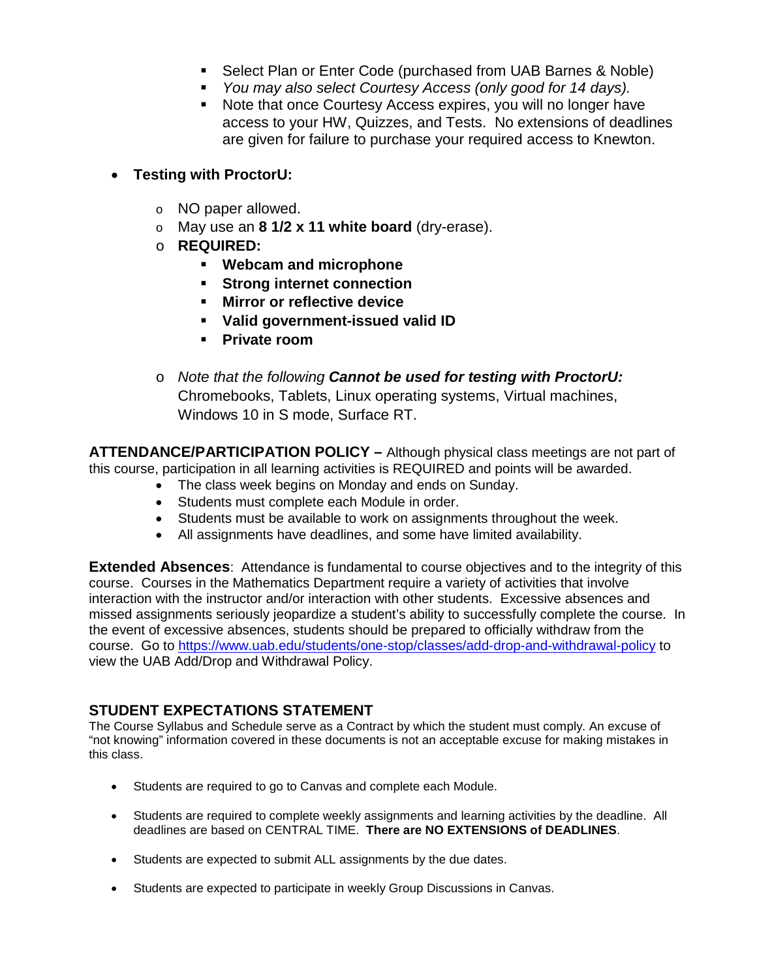- Select Plan or Enter Code (purchased from UAB Barnes & Noble)
- *You may also select Courtesy Access (only good for 14 days).*
- **Note that once Courtesy Access expires, you will no longer have** access to your HW, Quizzes, and Tests. No extensions of deadlines are given for failure to purchase your required access to Knewton.

# • **Testing with ProctorU:**

- o NO paper allowed.
- o May use an **8 1/2 x 11 white board** (dry-erase).
- o **REQUIRED:**
	- **Webcam and microphone**
	- **Strong internet connection**
	- **Mirror or reflective device**
	- **Valid government-issued valid ID**
	- **Private room**
- o *Note that the following Cannot be used for testing with ProctorU:* Chromebooks, Tablets, Linux operating systems, Virtual machines, Windows 10 in S mode, Surface RT.

**ATTENDANCE/PARTICIPATION POLICY –** Although physical class meetings are not part of this course, participation in all learning activities is REQUIRED and points will be awarded.

- The class week begins on Monday and ends on Sunday.
- Students must complete each Module in order.
- Students must be available to work on assignments throughout the week.
- All assignments have deadlines, and some have limited availability.

**Extended Absences**: Attendance is fundamental to course objectives and to the integrity of this course. Courses in the Mathematics Department require a variety of activities that involve interaction with the instructor and/or interaction with other students. Excessive absences and missed assignments seriously jeopardize a student's ability to successfully complete the course. In the event of excessive absences, students should be prepared to officially withdraw from the course. Go to <https://www.uab.edu/students/one-stop/classes/add-drop-and-withdrawal-policy> to view the UAB Add/Drop and Withdrawal Policy.

# **STUDENT EXPECTATIONS STATEMENT**

The Course Syllabus and Schedule serve as a Contract by which the student must comply. An excuse of "not knowing" information covered in these documents is not an acceptable excuse for making mistakes in this class.

- Students are required to go to Canvas and complete each Module.
- Students are required to complete weekly assignments and learning activities by the deadline. All deadlines are based on CENTRAL TIME. **There are NO EXTENSIONS of DEADLINES**.
- Students are expected to submit ALL assignments by the due dates.
- Students are expected to participate in weekly Group Discussions in Canvas.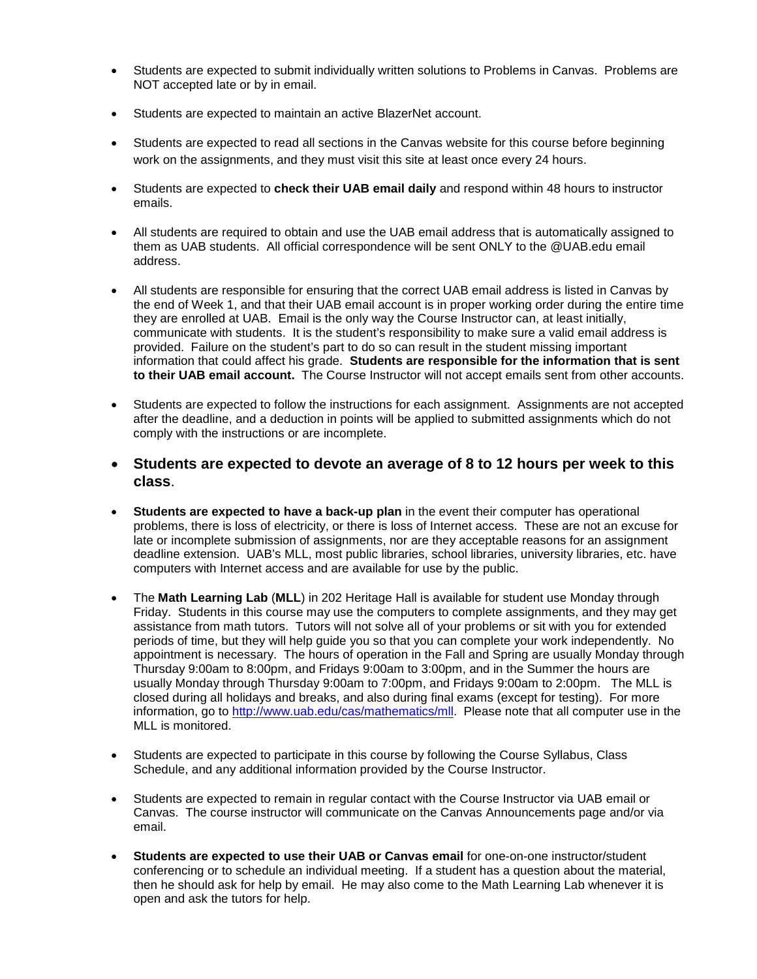- Students are expected to submit individually written solutions to Problems in Canvas. Problems are NOT accepted late or by in email.
- Students are expected to maintain an active BlazerNet account.
- Students are expected to read all sections in the Canvas website for this course before beginning work on the assignments, and they must visit this site at least once every 24 hours.
- Students are expected to **check their UAB email daily** and respond within 48 hours to instructor emails.
- All students are required to obtain and use the UAB email address that is automatically assigned to them as UAB students. All official correspondence will be sent ONLY to the @UAB.edu email address.
- All students are responsible for ensuring that the correct UAB email address is listed in Canvas by the end of Week 1, and that their UAB email account is in proper working order during the entire time they are enrolled at UAB. Email is the only way the Course Instructor can, at least initially, communicate with students. It is the student's responsibility to make sure a valid email address is provided. Failure on the student's part to do so can result in the student missing important information that could affect his grade. **Students are responsible for the information that is sent to their UAB email account.** The Course Instructor will not accept emails sent from other accounts.
- Students are expected to follow the instructions for each assignment. Assignments are not accepted after the deadline, and a deduction in points will be applied to submitted assignments which do not comply with the instructions or are incomplete.
- **Students are expected to devote an average of 8 to 12 hours per week to this class**.
- **Students are expected to have a back-up plan** in the event their computer has operational problems, there is loss of electricity, or there is loss of Internet access. These are not an excuse for late or incomplete submission of assignments, nor are they acceptable reasons for an assignment deadline extension. UAB's MLL, most public libraries, school libraries, university libraries, etc. have computers with Internet access and are available for use by the public.
- The **Math Learning Lab** (**MLL**) in 202 Heritage Hall is available for student use Monday through Friday. Students in this course may use the computers to complete assignments, and they may get assistance from math tutors. Tutors will not solve all of your problems or sit with you for extended periods of time, but they will help guide you so that you can complete your work independently. No appointment is necessary. The hours of operation in the Fall and Spring are usually Monday through Thursday 9:00am to 8:00pm, and Fridays 9:00am to 3:00pm, and in the Summer the hours are usually Monday through Thursday 9:00am to 7:00pm, and Fridays 9:00am to 2:00pm. The MLL is closed during all holidays and breaks, and also during final exams (except for testing). For more information, go to [http://www.uab.edu/cas/mathematics/mll.](http://www.uab.edu/cas/mathematics/mll) Please note that all computer use in the MLL is monitored.
- Students are expected to participate in this course by following the Course Syllabus, Class Schedule, and any additional information provided by the Course Instructor.
- Students are expected to remain in regular contact with the Course Instructor via UAB email or Canvas. The course instructor will communicate on the Canvas Announcements page and/or via email.
- **Students are expected to use their UAB or Canvas email** for one-on-one instructor/student conferencing or to schedule an individual meeting. If a student has a question about the material, then he should ask for help by email. He may also come to the Math Learning Lab whenever it is open and ask the tutors for help.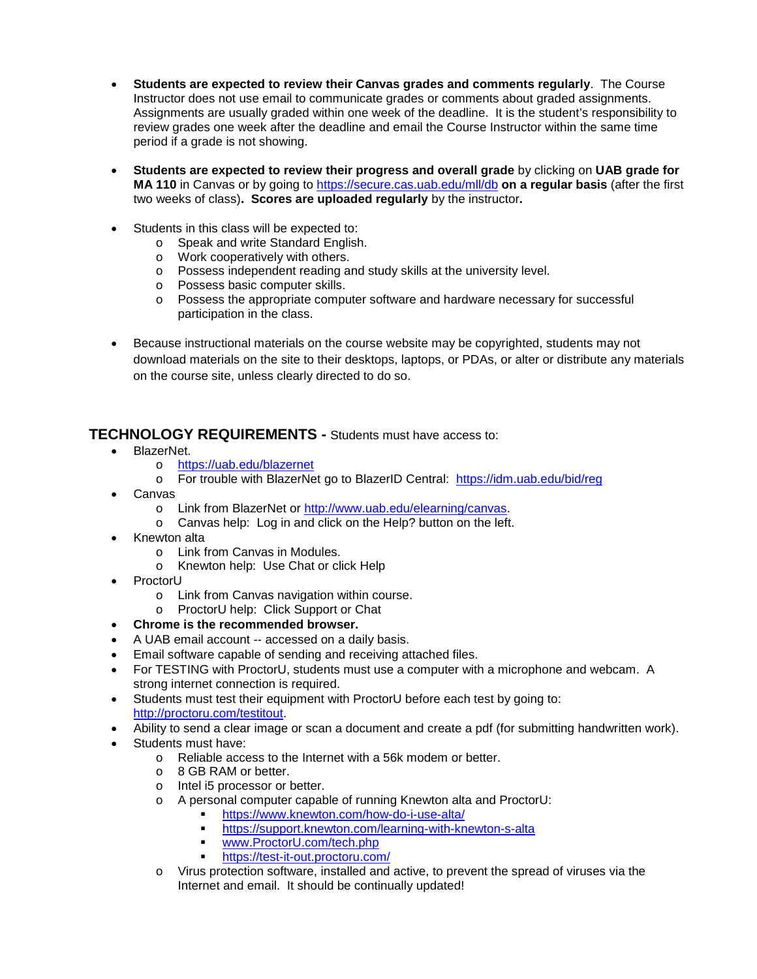- **Students are expected to review their Canvas grades and comments regularly**. The Course Instructor does not use email to communicate grades or comments about graded assignments. Assignments are usually graded within one week of the deadline. It is the student's responsibility to review grades one week after the deadline and email the Course Instructor within the same time period if a grade is not showing.
- **Students are expected to review their progress and overall grade** by clicking on **UAB grade for MA 110** in Canvas or by going to<https://secure.cas.uab.edu/mll/db> **on a regular basis** (after the first two weeks of class)**. Scores are uploaded regularly** by the instructor**.**
- Students in this class will be expected to:
	- o Speak and write Standard English.
	- o Work cooperatively with others.
	- o Possess independent reading and study skills at the university level.
	- o Possess basic computer skills.
	- o Possess the appropriate computer software and hardware necessary for successful participation in the class.
- Because instructional materials on the course website may be copyrighted, students may not download materials on the site to their desktops, laptops, or PDAs, or alter or distribute any materials on the course site, unless clearly directed to do so.

# **TECHNOLOGY REQUIREMENTS -** Students must have access to:

- BlazerNet.
	- o <https://uab.edu/blazernet>
	- o For trouble with BlazerNet go to BlazerID Central: <https://idm.uab.edu/bid/reg>
- Canvas
	- o Link from BlazerNet or [http://www.uab.edu/elearning/canvas.](http://www.uab.edu/elearning/canvas)
	- o Canvas help: Log in and click on the Help? button on the left.
- Knewton alta
	- o Link from Canvas in Modules.
	- o Knewton help: Use Chat or click Help
- ProctorU
	- o Link from Canvas navigation within course.
	- o ProctorU help: Click Support or Chat
- **Chrome is the recommended browser.**
- A UAB email account -- accessed on a daily basis.
- Email software capable of sending and receiving attached files.
- For TESTING with ProctorU, students must use a computer with a microphone and webcam. A strong internet connection is required.
- Students must test their equipment with ProctorU before each test by going to: [http://proctoru.com/testitout.](http://proctoru.com/testitout)
- Ability to send a clear image or scan a document and create a pdf (for submitting handwritten work).
- Students must have:
	- o Reliable access to the Internet with a 56k modem or better.
	- o 8 GB RAM or better.
	- o Intel i5 processor or better.
	- o A personal computer capable of running Knewton alta and ProctorU:
		- <https://www.knewton.com/how-do-i-use-alta/>
			- <https://support.knewton.com/learning-with-knewton-s-alta>
		- [www.ProctorU.com/tech.php](http://www.proctoru.com/tech.php)
		- <https://test-it-out.proctoru.com/>
	- o Virus protection software, installed and active, to prevent the spread of viruses via the Internet and email. It should be continually updated!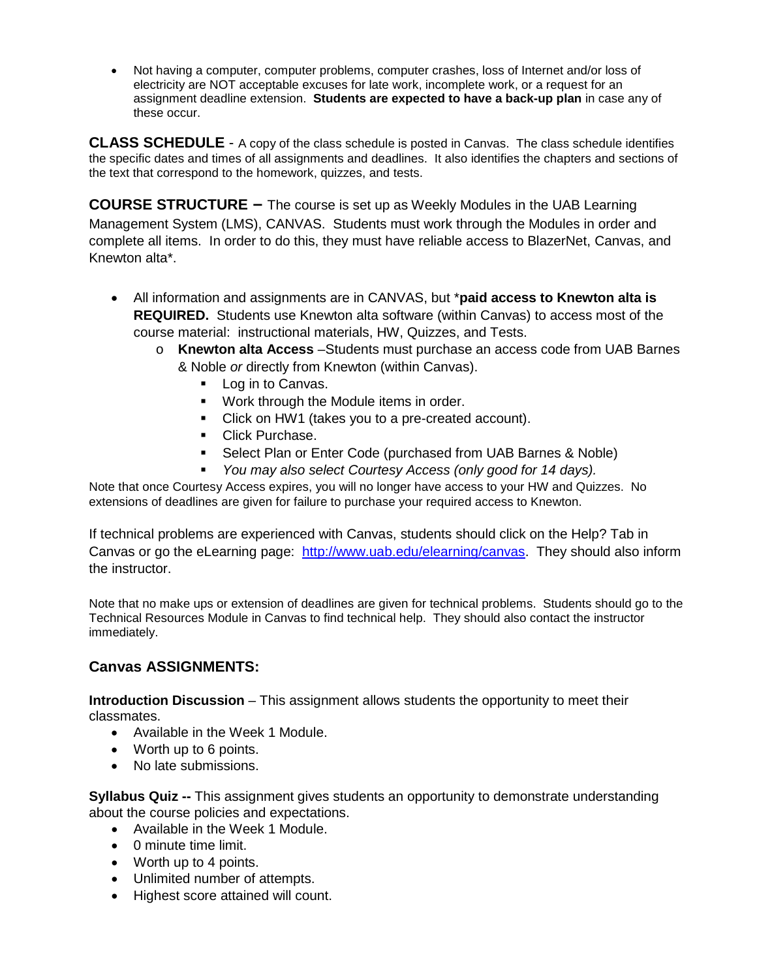• Not having a computer, computer problems, computer crashes, loss of Internet and/or loss of electricity are NOT acceptable excuses for late work, incomplete work, or a request for an assignment deadline extension. **Students are expected to have a back-up plan** in case any of these occur.

**CLASS SCHEDULE** - A copy of the class schedule is posted in Canvas. The class schedule identifies the specific dates and times of all assignments and deadlines. It also identifies the chapters and sections of the text that correspond to the homework, quizzes, and tests.

**COURSE STRUCTURE –** The course is set up as Weekly Modules in the UAB Learning Management System (LMS), CANVAS. Students must work through the Modules in order and complete all items. In order to do this, they must have reliable access to BlazerNet, Canvas, and Knewton alta\*.

- All information and assignments are in CANVAS, but \***paid access to Knewton alta is REQUIRED.** Students use Knewton alta software (within Canvas) to access most of the course material: instructional materials, HW, Quizzes, and Tests.
	- o **Knewton alta Access** –Students must purchase an access code from UAB Barnes & Noble *or* directly from Knewton (within Canvas).
		- **Log in to Canvas.**
		- **Work through the Module items in order.**
		- Click on HW1 (takes you to a pre-created account).
		- **Click Purchase.**
		- Select Plan or Enter Code (purchased from UAB Barnes & Noble)
		- *You may also select Courtesy Access (only good for 14 days).*

Note that once Courtesy Access expires, you will no longer have access to your HW and Quizzes. No extensions of deadlines are given for failure to purchase your required access to Knewton.

If technical problems are experienced with Canvas, students should click on the Help? Tab in Canvas or go the eLearning page: [http://www.uab.edu/elearning/canvas.](http://www.uab.edu/elearning/canvas) They should also inform the instructor.

Note that no make ups or extension of deadlines are given for technical problems. Students should go to the Technical Resources Module in Canvas to find technical help. They should also contact the instructor immediately.

# **Canvas ASSIGNMENTS:**

**Introduction Discussion** – This assignment allows students the opportunity to meet their classmates.

- Available in the Week 1 Module.
- Worth up to 6 points.
- No late submissions.

**Syllabus Quiz --** This assignment gives students an opportunity to demonstrate understanding about the course policies and expectations.

- Available in the Week 1 Module.
- 0 minute time limit.
- Worth up to 4 points.
- Unlimited number of attempts.
- Highest score attained will count.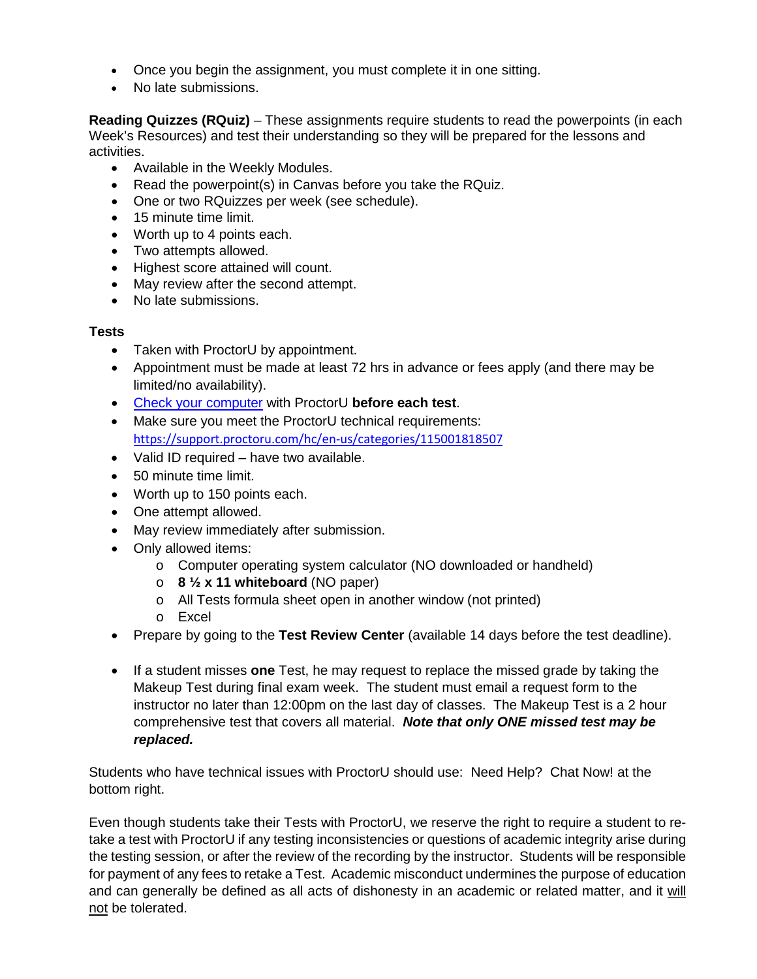- Once you begin the assignment, you must complete it in one sitting.
- No late submissions.

**Reading Quizzes (RQuiz)** – These assignments require students to read the powerpoints (in each Week's Resources) and test their understanding so they will be prepared for the lessons and activities.

- Available in the Weekly Modules.
- Read the powerpoint(s) in Canvas before you take the RQuiz.
- One or two RQuizzes per week (see schedule).
- 15 minute time limit.
- Worth up to 4 points each.
- Two attempts allowed.
- Highest score attained will count.
- May review after the second attempt.
- No late submissions.

# **Tests**

- Taken with ProctorU by appointment.
- Appointment must be made at least 72 hrs in advance or fees apply (and there may be limited/no availability).
- [Check your computer](https://proctoru.com/testitout) with ProctorU **before each test**.
- Make sure you meet the ProctorU technical requirements: <https://support.proctoru.com/hc/en-us/categories/115001818507>
- Valid ID required have two available.
- 50 minute time limit.
- Worth up to 150 points each.
- One attempt allowed.
- May review immediately after submission.
- Only allowed items:
	- o Computer operating system calculator (NO downloaded or handheld)
	- o **8 ½ x 11 whiteboard** (NO paper)
	- o All Tests formula sheet open in another window (not printed)
	- o Excel
- Prepare by going to the **Test Review Center** (available 14 days before the test deadline).
- If a student misses **one** Test, he may request to replace the missed grade by taking the Makeup Test during final exam week. The student must email a request form to the instructor no later than 12:00pm on the last day of classes. The Makeup Test is a 2 hour comprehensive test that covers all material. *Note that only ONE missed test may be replaced.*

Students who have technical issues with ProctorU should use: Need Help? Chat Now! at the bottom right.

Even though students take their Tests with ProctorU, we reserve the right to require a student to retake a test with ProctorU if any testing inconsistencies or questions of academic integrity arise during the testing session, or after the review of the recording by the instructor. Students will be responsible for payment of any fees to retake a Test. Academic misconduct undermines the purpose of education and can generally be defined as all acts of dishonesty in an academic or related matter, and it will not be tolerated.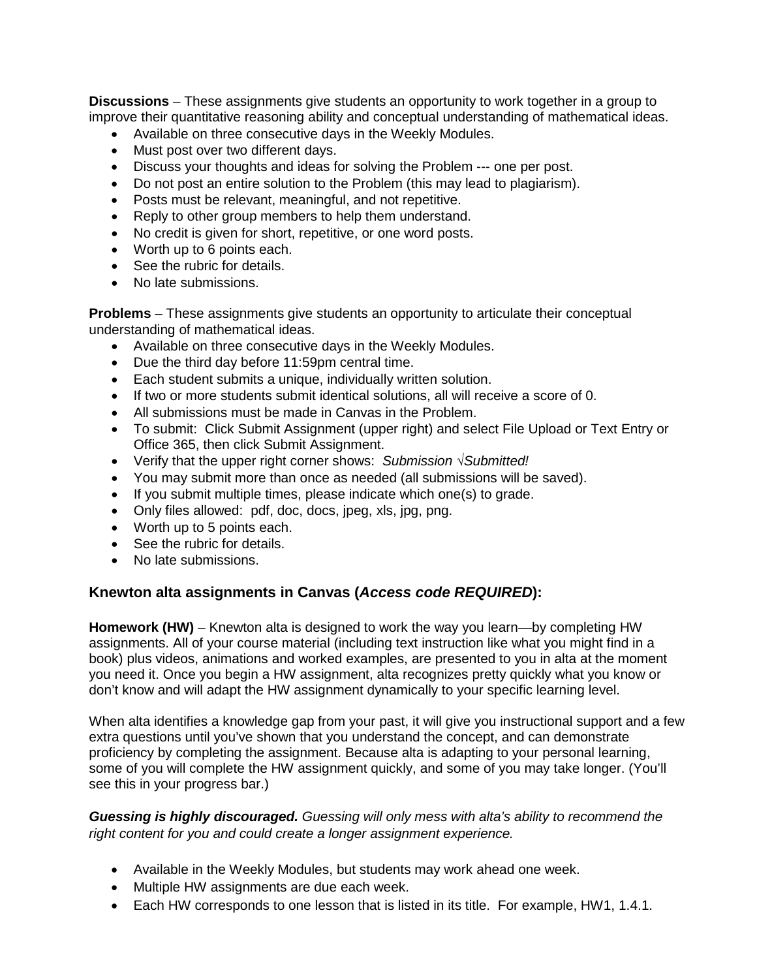**Discussions** – These assignments give students an opportunity to work together in a group to improve their quantitative reasoning ability and conceptual understanding of mathematical ideas.

- Available on three consecutive days in the Weekly Modules.
- Must post over two different days.
- Discuss your thoughts and ideas for solving the Problem --- one per post.
- Do not post an entire solution to the Problem (this may lead to plagiarism).
- Posts must be relevant, meaningful, and not repetitive.
- Reply to other group members to help them understand.
- No credit is given for short, repetitive, or one word posts.
- Worth up to 6 points each.
- See the rubric for details.
- No late submissions.

**Problems** – These assignments give students an opportunity to articulate their conceptual understanding of mathematical ideas.

- Available on three consecutive days in the Weekly Modules.
- Due the third day before 11:59pm central time.
- Each student submits a unique, individually written solution.
- If two or more students submit identical solutions, all will receive a score of 0.
- All submissions must be made in Canvas in the Problem.
- To submit: Click Submit Assignment (upper right) and select File Upload or Text Entry or Office 365, then click Submit Assignment.
- Verify that the upper right corner shows: *Submission √Submitted!*
- You may submit more than once as needed (all submissions will be saved).
- If you submit multiple times, please indicate which one(s) to grade.
- Only files allowed: pdf, doc, docs, jpeg, xls, jpg, png.
- Worth up to 5 points each.
- See the rubric for details.
- No late submissions.

# **Knewton alta assignments in Canvas (***Access code REQUIRED***):**

**Homework (HW)** – Knewton alta is designed to work the way you learn—by completing HW assignments. All of your course material (including text instruction like what you might find in a book) plus videos, animations and worked examples, are presented to you in alta at the moment you need it. Once you begin a HW assignment, alta recognizes pretty quickly what you know or don't know and will adapt the HW assignment dynamically to your specific learning level.

When alta identifies a knowledge gap from your past, it will give you instructional support and a few extra questions until you've shown that you understand the concept, and can demonstrate proficiency by completing the assignment. Because alta is adapting to your personal learning, some of you will complete the HW assignment quickly, and some of you may take longer. (You'll see this in your progress bar.)

*Guessing is highly discouraged. Guessing will only mess with alta's ability to recommend the right content for you and could create a longer assignment experience.*

- Available in the Weekly Modules, but students may work ahead one week.
- Multiple HW assignments are due each week.
- Each HW corresponds to one lesson that is listed in its title. For example, HW1, 1.4.1.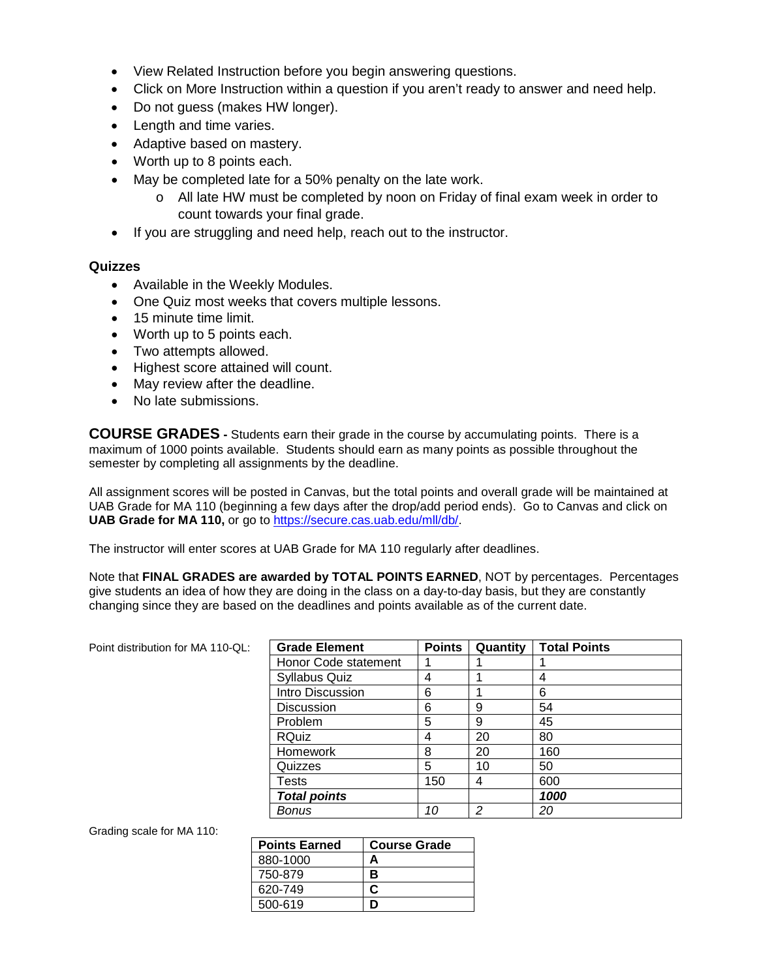- View Related Instruction before you begin answering questions.
- Click on More Instruction within a question if you aren't ready to answer and need help.
- Do not guess (makes HW longer).
- Length and time varies.
- Adaptive based on mastery.
- Worth up to 8 points each.
- May be completed late for a 50% penalty on the late work.
	- o All late HW must be completed by noon on Friday of final exam week in order to count towards your final grade.
- If you are struggling and need help, reach out to the instructor.

#### **Quizzes**

- Available in the Weekly Modules.
- One Quiz most weeks that covers multiple lessons.
- 15 minute time limit.
- Worth up to 5 points each.
- Two attempts allowed.
- Highest score attained will count.
- May review after the deadline.
- No late submissions.

**COURSE GRADES -** Students earn their grade in the course by accumulating points. There is a maximum of 1000 points available. Students should earn as many points as possible throughout the semester by completing all assignments by the deadline.

All assignment scores will be posted in Canvas, but the total points and overall grade will be maintained at UAB Grade for MA 110 (beginning a few days after the drop/add period ends). Go to Canvas and click on **UAB Grade for MA 110,** or go to [https://secure.cas.uab.edu/mll/db/.](https://secure.cas.uab.edu/mll/db/)

The instructor will enter scores at UAB Grade for MA 110 regularly after deadlines.

Note that **FINAL GRADES are awarded by TOTAL POINTS EARNED**, NOT by percentages. Percentages give students an idea of how they are doing in the class on a day-to-day basis, but they are constantly changing since they are based on the deadlines and points available as of the current date.

Point distribution for MA 110-QL:

| <b>Grade Element</b> | <b>Points</b> | Quantity | <b>Total Points</b> |
|----------------------|---------------|----------|---------------------|
| Honor Code statement |               |          |                     |
| Syllabus Quiz        | 4             |          | 4                   |
| Intro Discussion     | 6             |          | 6                   |
| Discussion           | 6             | 9        | 54                  |
| <b>Problem</b>       | 5             | 9        | 45                  |
| <b>RQuiz</b>         | 4             | 20       | 80                  |
| <b>Homework</b>      | 8             | 20       | 160                 |
| Quizzes              | 5             | 10       | 50                  |
| Tests                | 150           | 4        | 600                 |
| <b>Total points</b>  |               |          | 1000                |
| Bonus                | 10            | 2        | 20                  |

Grading scale for MA 110:

| <b>Points Earned</b> | <b>Course Grade</b> |
|----------------------|---------------------|
| 880-1000             | Д                   |
| 750-879              | R                   |
| 620-749              |                     |
| 500-619              |                     |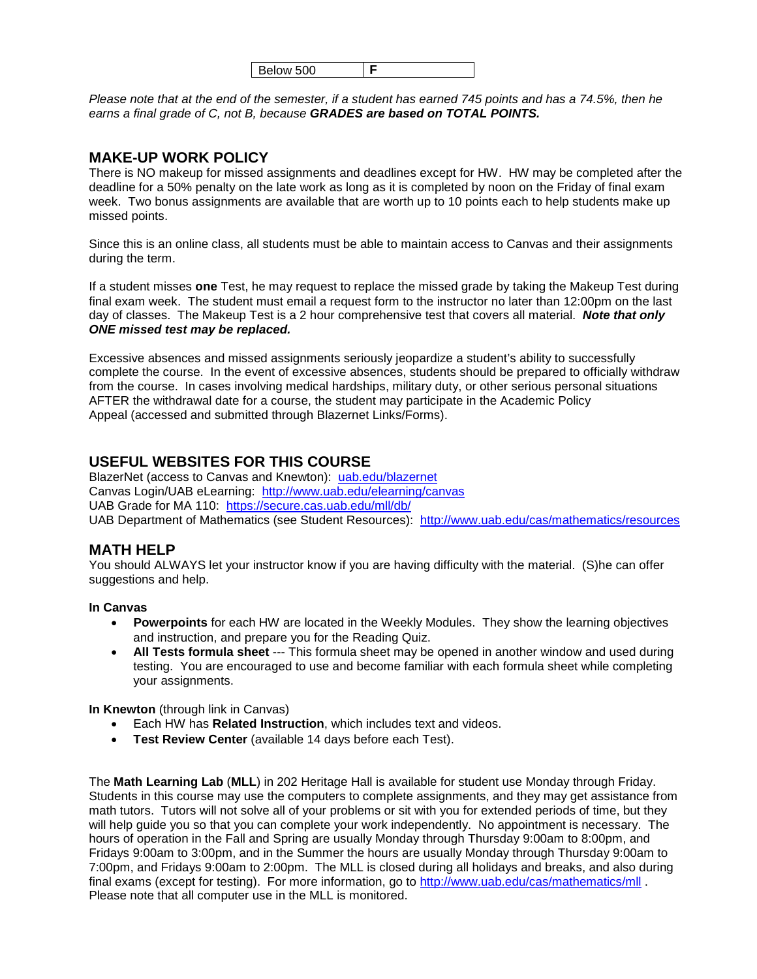|  | 500<br><b>Below</b> |  |
|--|---------------------|--|
|--|---------------------|--|

*Please note that at the end of the semester, if a student has earned 745 points and has a 74.5%, then he earns a final grade of C, not B, because GRADES are based on TOTAL POINTS.*

#### **MAKE-UP WORK POLICY**

There is NO makeup for missed assignments and deadlines except for HW. HW may be completed after the deadline for a 50% penalty on the late work as long as it is completed by noon on the Friday of final exam week. Two bonus assignments are available that are worth up to 10 points each to help students make up missed points.

Since this is an online class, all students must be able to maintain access to Canvas and their assignments during the term.

If a student misses **one** Test, he may request to replace the missed grade by taking the Makeup Test during final exam week. The student must email a request form to the instructor no later than 12:00pm on the last day of classes. The Makeup Test is a 2 hour comprehensive test that covers all material. *Note that only ONE missed test may be replaced.*

Excessive absences and missed assignments seriously jeopardize a student's ability to successfully complete the course. In the event of excessive absences, students should be prepared to officially withdraw from the course. In cases involving medical hardships, military duty, or other serious personal situations AFTER the withdrawal date for a course, the student may participate in the Academic Policy Appeal (accessed and submitted through Blazernet Links/Forms).

# **USEFUL WEBSITES FOR THIS COURSE**

BlazerNet (access to Canvas and Knewton): [uab.edu/blazernet](http://www.uab.edu/blazernet) Canvas Login/UAB eLearning: <http://www.uab.edu/elearning/canvas> UAB Grade for MA 110: <https://secure.cas.uab.edu/mll/db/> UAB Department of Mathematics (see Student Resources): <http://www.uab.edu/cas/mathematics/resources>

# **MATH HELP**

You should ALWAYS let your instructor know if you are having difficulty with the material. (S)he can offer suggestions and help.

#### **In Canvas**

- **Powerpoints** for each HW are located in the Weekly Modules. They show the learning objectives and instruction, and prepare you for the Reading Quiz.
- **All Tests formula sheet** --- This formula sheet may be opened in another window and used during testing. You are encouraged to use and become familiar with each formula sheet while completing your assignments.

**In Knewton** (through link in Canvas)

- Each HW has **Related Instruction**, which includes text and videos.
- **Test Review Center** (available 14 days before each Test).

The **Math Learning Lab** (**MLL**) in 202 Heritage Hall is available for student use Monday through Friday. Students in this course may use the computers to complete assignments, and they may get assistance from math tutors. Tutors will not solve all of your problems or sit with you for extended periods of time, but they will help guide you so that you can complete your work independently. No appointment is necessary. The hours of operation in the Fall and Spring are usually Monday through Thursday 9:00am to 8:00pm, and Fridays 9:00am to 3:00pm, and in the Summer the hours are usually Monday through Thursday 9:00am to 7:00pm, and Fridays 9:00am to 2:00pm. The MLL is closed during all holidays and breaks, and also during final exams (except for testing). For more information, go to<http://www.uab.edu/cas/mathematics/mll>. Please note that all computer use in the MLL is monitored.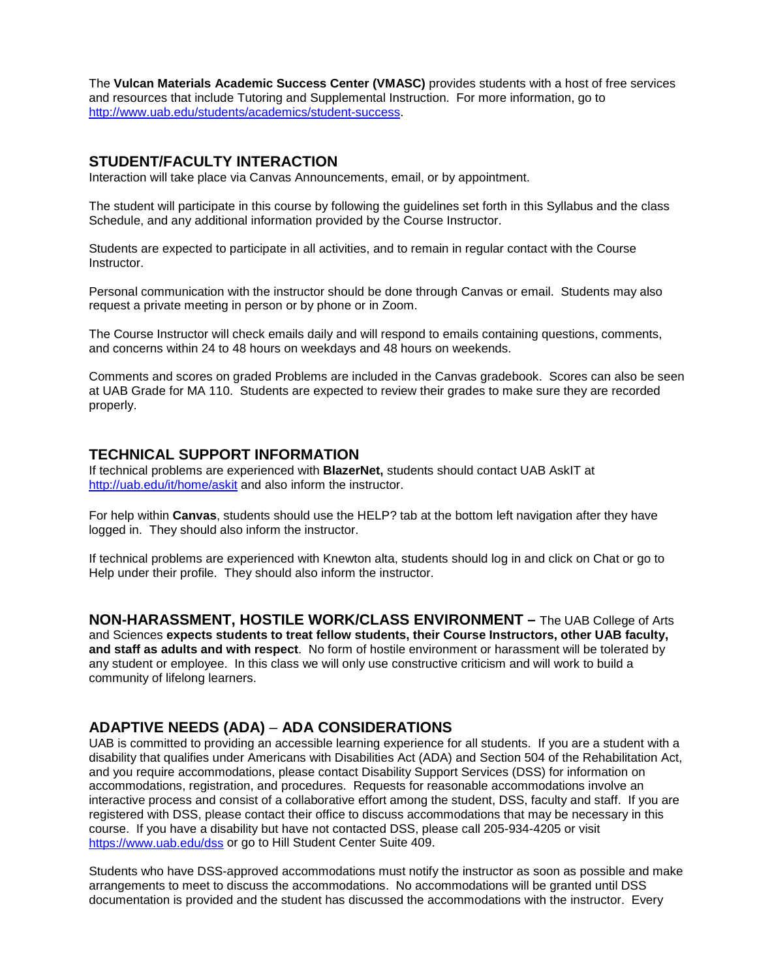The **Vulcan Materials Academic Success Center (VMASC)** provides students with a host of free services and resources that include Tutoring and Supplemental Instruction. For more information, go to [http://www.uab.edu/students/academics/student-success.](http://www.uab.edu/students/academics/student-success)

# **STUDENT/FACULTY INTERACTION**

Interaction will take place via Canvas Announcements, email, or by appointment.

The student will participate in this course by following the guidelines set forth in this Syllabus and the class Schedule, and any additional information provided by the Course Instructor.

Students are expected to participate in all activities, and to remain in regular contact with the Course Instructor.

Personal communication with the instructor should be done through Canvas or email. Students may also request a private meeting in person or by phone or in Zoom.

The Course Instructor will check emails daily and will respond to emails containing questions, comments, and concerns within 24 to 48 hours on weekdays and 48 hours on weekends.

Comments and scores on graded Problems are included in the Canvas gradebook. Scores can also be seen at UAB Grade for MA 110. Students are expected to review their grades to make sure they are recorded properly.

#### **TECHNICAL SUPPORT INFORMATION**

If technical problems are experienced with **BlazerNet,** students should contact UAB AskIT at <http://uab.edu/it/home/askit> and also inform the instructor.

For help within **Canvas**, students should use the HELP? tab at the bottom left navigation after they have logged in. They should also inform the instructor.

If technical problems are experienced with Knewton alta, students should log in and click on Chat or go to Help under their profile. They should also inform the instructor.

**NON-HARASSMENT, HOSTILE WORK/CLASS ENVIRONMENT –** The UAB College of Arts and Sciences **expects students to treat fellow students, their Course Instructors, other UAB faculty, and staff as adults and with respect**. No form of hostile environment or harassment will be tolerated by any student or employee. In this class we will only use constructive criticism and will work to build a community of lifelong learners.

# **ADAPTIVE NEEDS (ADA)** – **ADA CONSIDERATIONS**

UAB is committed to providing an accessible learning experience for all students. If you are a student with a disability that qualifies under Americans with Disabilities Act (ADA) and Section 504 of the Rehabilitation Act, and you require accommodations, please contact Disability Support Services (DSS) for information on accommodations, registration, and procedures. Requests for reasonable accommodations involve an interactive process and consist of a collaborative effort among the student, DSS, faculty and staff. If you are registered with DSS, please contact their office to discuss accommodations that may be necessary in this course. If you have a disability but have not contacted DSS, please call 205-934-4205 or visit <https://www.uab.edu/dss> or go to Hill Student Center Suite 409.

Students who have DSS-approved accommodations must notify the instructor as soon as possible and make arrangements to meet to discuss the accommodations. No accommodations will be granted until DSS documentation is provided and the student has discussed the accommodations with the instructor. Every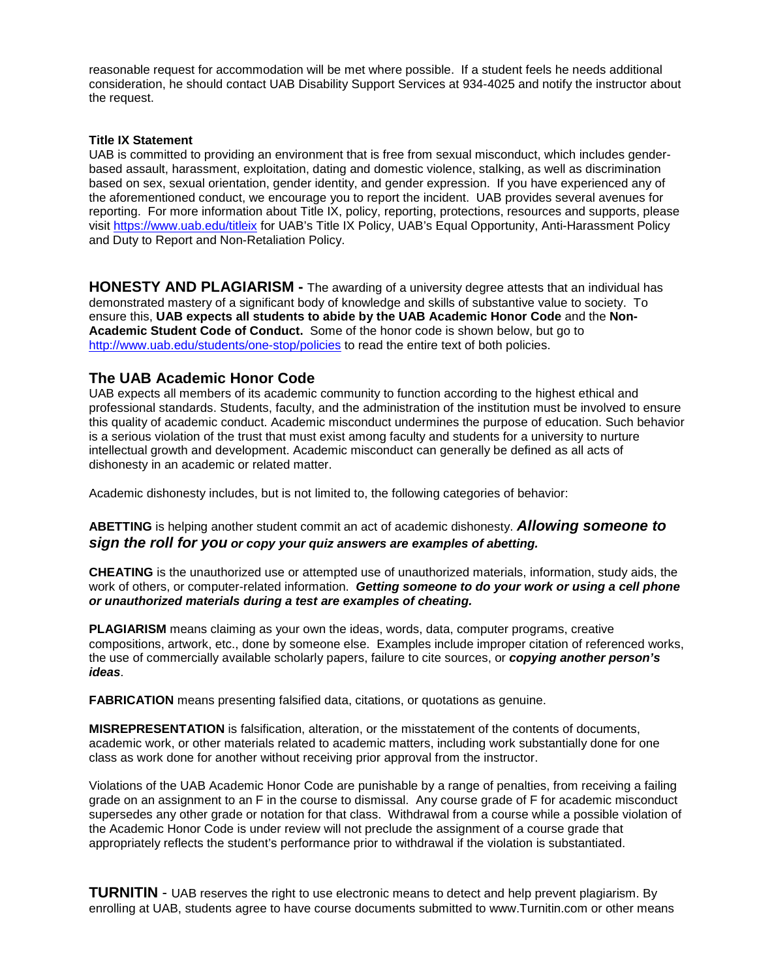reasonable request for accommodation will be met where possible. If a student feels he needs additional consideration, he should contact UAB Disability Support Services at 934-4025 and notify the instructor about the request.

#### **Title IX Statement**

UAB is committed to providing an environment that is free from sexual misconduct, which includes genderbased assault, harassment, exploitation, dating and domestic violence, stalking, as well as discrimination based on sex, sexual orientation, gender identity, and gender expression. If you have experienced any of the aforementioned conduct, we encourage you to report the incident. UAB provides several avenues for reporting. For more information about Title IX, policy, reporting, protections, resources and supports, please visit<https://www.uab.edu/titleix> for UAB's Title IX Policy, UAB's Equal Opportunity, Anti-Harassment Policy and Duty to Report and Non-Retaliation Policy.

**HONESTY AND PLAGIARISM -** The awarding of a university degree attests that an individual has demonstrated mastery of a significant body of knowledge and skills of substantive value to society. To ensure this, **UAB expects all students to abide by the UAB Academic Honor Code** and the **Non-Academic Student Code of Conduct.** Some of the honor code is shown below, but go to <http://www.uab.edu/students/one-stop/policies> to read the entire text of both policies.

# **The UAB Academic Honor Code**

UAB expects all members of its academic community to function according to the highest ethical and professional standards. Students, faculty, and the administration of the institution must be involved to ensure this quality of academic conduct. Academic misconduct undermines the purpose of education. Such behavior is a serious violation of the trust that must exist among faculty and students for a university to nurture intellectual growth and development. Academic misconduct can generally be defined as all acts of dishonesty in an academic or related matter.

Academic dishonesty includes, but is not limited to, the following categories of behavior:

**ABETTING** is helping another student commit an act of academic dishonesty. *Allowing someone to sign the roll for you or copy your quiz answers are examples of abetting.*

**CHEATING** is the unauthorized use or attempted use of unauthorized materials, information, study aids, the work of others, or computer-related information. *Getting someone to do your work or using a cell phone or unauthorized materials during a test are examples of cheating.*

**PLAGIARISM** means claiming as your own the ideas, words, data, computer programs, creative compositions, artwork, etc., done by someone else. Examples include improper citation of referenced works, the use of commercially available scholarly papers, failure to cite sources, or *copying another person's ideas*.

**FABRICATION** means presenting falsified data, citations, or quotations as genuine.

**MISREPRESENTATION** is falsification, alteration, or the misstatement of the contents of documents, academic work, or other materials related to academic matters, including work substantially done for one class as work done for another without receiving prior approval from the instructor.

Violations of the UAB Academic Honor Code are punishable by a range of penalties, from receiving a failing grade on an assignment to an F in the course to dismissal. Any course grade of F for academic misconduct supersedes any other grade or notation for that class. Withdrawal from a course while a possible violation of the Academic Honor Code is under review will not preclude the assignment of a course grade that appropriately reflects the student's performance prior to withdrawal if the violation is substantiated.

**TURNITIN** - UAB reserves the right to use electronic means to detect and help prevent plagiarism. By enrolling at UAB, students agree to have course documents submitted to www.Turnitin.com or other means